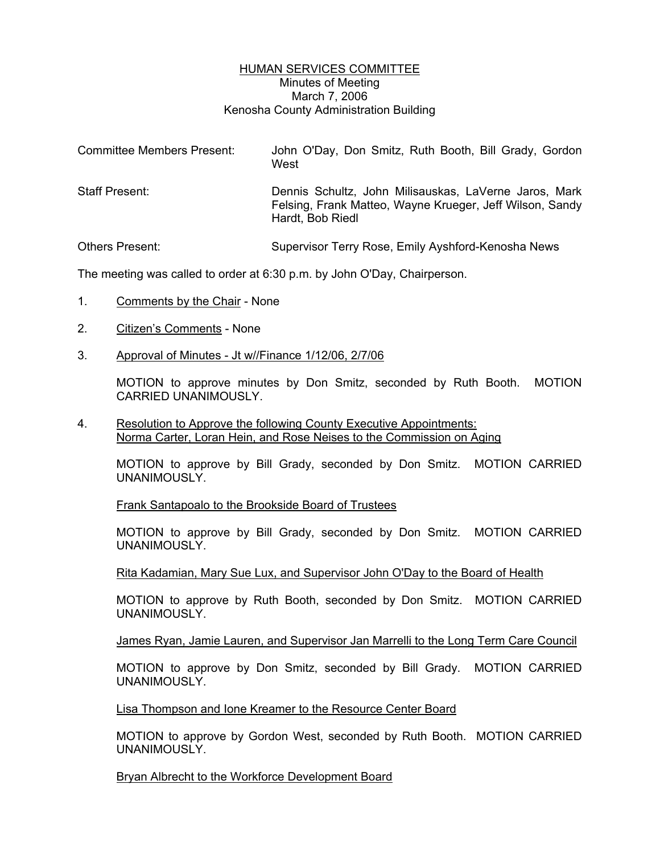## HUMAN SERVICES COMMITTEE Minutes of Meeting March 7, 2006 Kenosha County Administration Building

| <b>Committee Members Present:</b> | John O'Day, Don Smitz, Ruth Booth, Bill Grady, Gordon<br>West                                                                         |
|-----------------------------------|---------------------------------------------------------------------------------------------------------------------------------------|
| <b>Staff Present:</b>             | Dennis Schultz, John Milisauskas, LaVerne Jaros, Mark<br>Felsing, Frank Matteo, Wayne Krueger, Jeff Wilson, Sandy<br>Hardt, Bob Riedl |
| Others Present:                   | Supervisor Terry Rose, Emily Ayshford-Kenosha News                                                                                    |

The meeting was called to order at 6:30 p.m. by John O'Day, Chairperson.

- 1. Comments by the Chair None
- 2. Citizen's Comments None
- 3. Approval of Minutes Jt w//Finance 1/12/06, 2/7/06

MOTION to approve minutes by Don Smitz, seconded by Ruth Booth. MOTION CARRIED UNANIMOUSLY.

4. Resolution to Approve the following County Executive Appointments: Norma Carter, Loran Hein, and Rose Neises to the Commission on Aging

MOTION to approve by Bill Grady, seconded by Don Smitz. MOTION CARRIED UNANIMOUSLY.

Frank Santapoalo to the Brookside Board of Trustees

MOTION to approve by Bill Grady, seconded by Don Smitz. MOTION CARRIED UNANIMOUSLY.

Rita Kadamian, Mary Sue Lux, and Supervisor John O'Day to the Board of Health

MOTION to approve by Ruth Booth, seconded by Don Smitz. MOTION CARRIED UNANIMOUSLY.

James Ryan, Jamie Lauren, and Supervisor Jan Marrelli to the Long Term Care Council

MOTION to approve by Don Smitz, seconded by Bill Grady. MOTION CARRIED UNANIMOUSLY.

Lisa Thompson and Ione Kreamer to the Resource Center Board

MOTION to approve by Gordon West, seconded by Ruth Booth. MOTION CARRIED UNANIMOUSLY.

Bryan Albrecht to the Workforce Development Board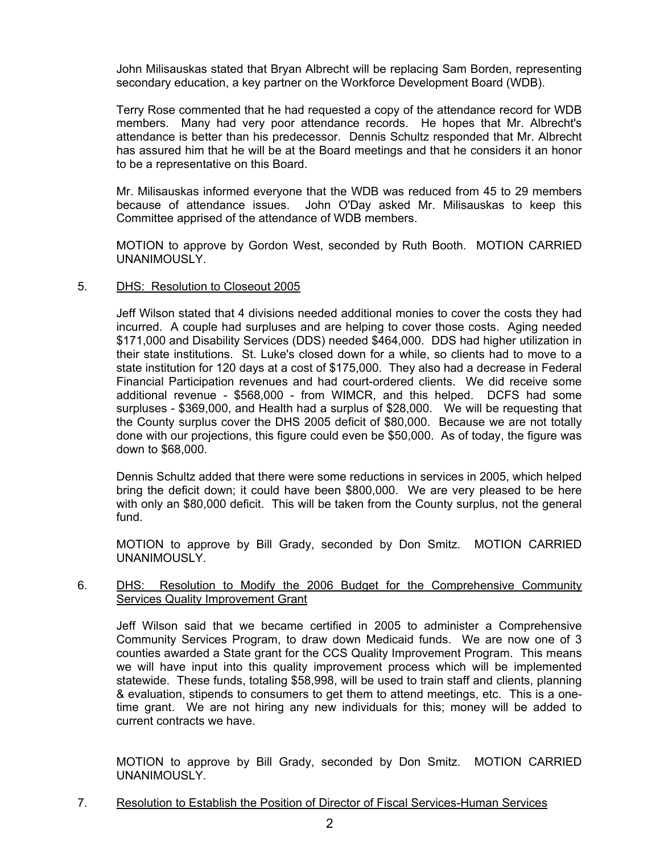John Milisauskas stated that Bryan Albrecht will be replacing Sam Borden, representing secondary education, a key partner on the Workforce Development Board (WDB).

Terry Rose commented that he had requested a copy of the attendance record for WDB members. Many had very poor attendance records. He hopes that Mr. Albrecht's attendance is better than his predecessor. Dennis Schultz responded that Mr. Albrecht has assured him that he will be at the Board meetings and that he considers it an honor to be a representative on this Board.

Mr. Milisauskas informed everyone that the WDB was reduced from 45 to 29 members because of attendance issues. John O'Day asked Mr. Milisauskas to keep this Committee apprised of the attendance of WDB members.

MOTION to approve by Gordon West, seconded by Ruth Booth. MOTION CARRIED UNANIMOUSLY.

## 5. DHS: Resolution to Closeout 2005

Jeff Wilson stated that 4 divisions needed additional monies to cover the costs they had incurred. A couple had surpluses and are helping to cover those costs. Aging needed \$171,000 and Disability Services (DDS) needed \$464,000. DDS had higher utilization in their state institutions. St. Luke's closed down for a while, so clients had to move to a state institution for 120 days at a cost of \$175,000. They also had a decrease in Federal Financial Participation revenues and had court-ordered clients. We did receive some additional revenue - \$568,000 - from WIMCR, and this helped. DCFS had some surpluses - \$369,000, and Health had a surplus of \$28,000. We will be requesting that the County surplus cover the DHS 2005 deficit of \$80,000. Because we are not totally done with our projections, this figure could even be \$50,000. As of today, the figure was down to \$68,000.

Dennis Schultz added that there were some reductions in services in 2005, which helped bring the deficit down; it could have been \$800,000. We are very pleased to be here with only an \$80,000 deficit. This will be taken from the County surplus, not the general fund.

MOTION to approve by Bill Grady, seconded by Don Smitz. MOTION CARRIED UNANIMOUSLY.

## 6. DHS: Resolution to Modify the 2006 Budget for the Comprehensive Community Services Quality Improvement Grant

Jeff Wilson said that we became certified in 2005 to administer a Comprehensive Community Services Program, to draw down Medicaid funds. We are now one of 3 counties awarded a State grant for the CCS Quality Improvement Program. This means we will have input into this quality improvement process which will be implemented statewide. These funds, totaling \$58,998, will be used to train staff and clients, planning & evaluation, stipends to consumers to get them to attend meetings, etc. This is a onetime grant. We are not hiring any new individuals for this; money will be added to current contracts we have.

MOTION to approve by Bill Grady, seconded by Don Smitz. MOTION CARRIED UNANIMOUSLY.

7. Resolution to Establish the Position of Director of Fiscal Services-Human Services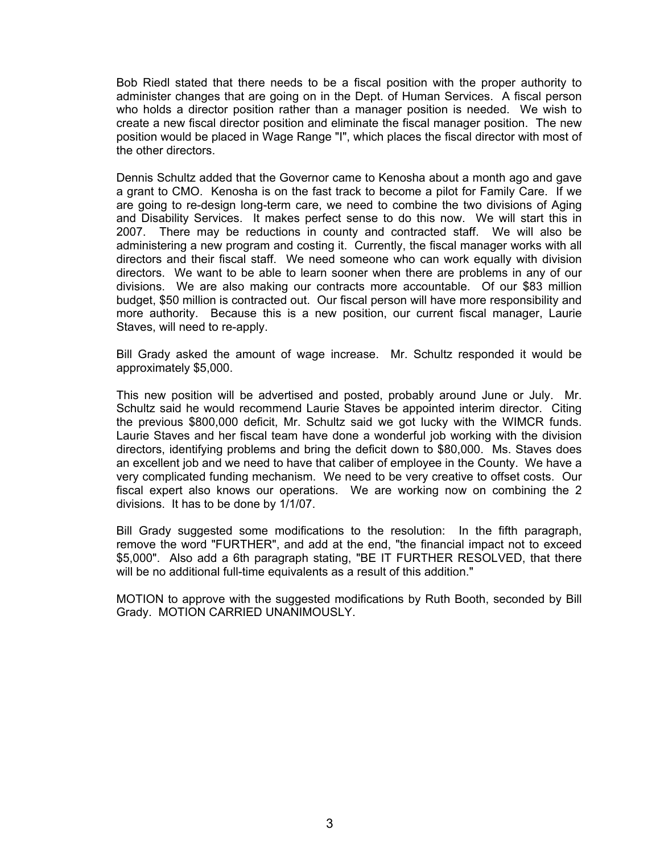Bob Riedl stated that there needs to be a fiscal position with the proper authority to administer changes that are going on in the Dept. of Human Services. A fiscal person who holds a director position rather than a manager position is needed. We wish to create a new fiscal director position and eliminate the fiscal manager position. The new position would be placed in Wage Range "I", which places the fiscal director with most of the other directors.

Dennis Schultz added that the Governor came to Kenosha about a month ago and gave a grant to CMO. Kenosha is on the fast track to become a pilot for Family Care. If we are going to re-design long-term care, we need to combine the two divisions of Aging and Disability Services. It makes perfect sense to do this now. We will start this in 2007. There may be reductions in county and contracted staff. We will also be administering a new program and costing it. Currently, the fiscal manager works with all directors and their fiscal staff. We need someone who can work equally with division directors. We want to be able to learn sooner when there are problems in any of our divisions. We are also making our contracts more accountable. Of our \$83 million budget, \$50 million is contracted out. Our fiscal person will have more responsibility and more authority. Because this is a new position, our current fiscal manager, Laurie Staves, will need to re-apply.

Bill Grady asked the amount of wage increase. Mr. Schultz responded it would be approximately \$5,000.

This new position will be advertised and posted, probably around June or July. Mr. Schultz said he would recommend Laurie Staves be appointed interim director. Citing the previous \$800,000 deficit, Mr. Schultz said we got lucky with the WIMCR funds. Laurie Staves and her fiscal team have done a wonderful job working with the division directors, identifying problems and bring the deficit down to \$80,000. Ms. Staves does an excellent job and we need to have that caliber of employee in the County. We have a very complicated funding mechanism. We need to be very creative to offset costs. Our fiscal expert also knows our operations. We are working now on combining the 2 divisions. It has to be done by 1/1/07.

Bill Grady suggested some modifications to the resolution: In the fifth paragraph, remove the word "FURTHER", and add at the end, "the financial impact not to exceed \$5,000". Also add a 6th paragraph stating, "BE IT FURTHER RESOLVED, that there will be no additional full-time equivalents as a result of this addition."

MOTION to approve with the suggested modifications by Ruth Booth, seconded by Bill Grady. MOTION CARRIED UNANIMOUSLY.